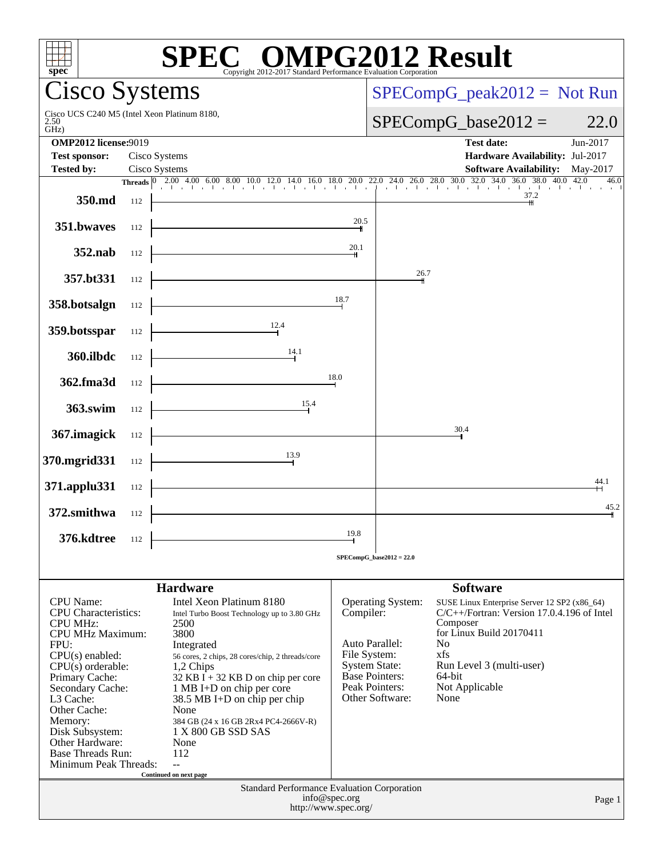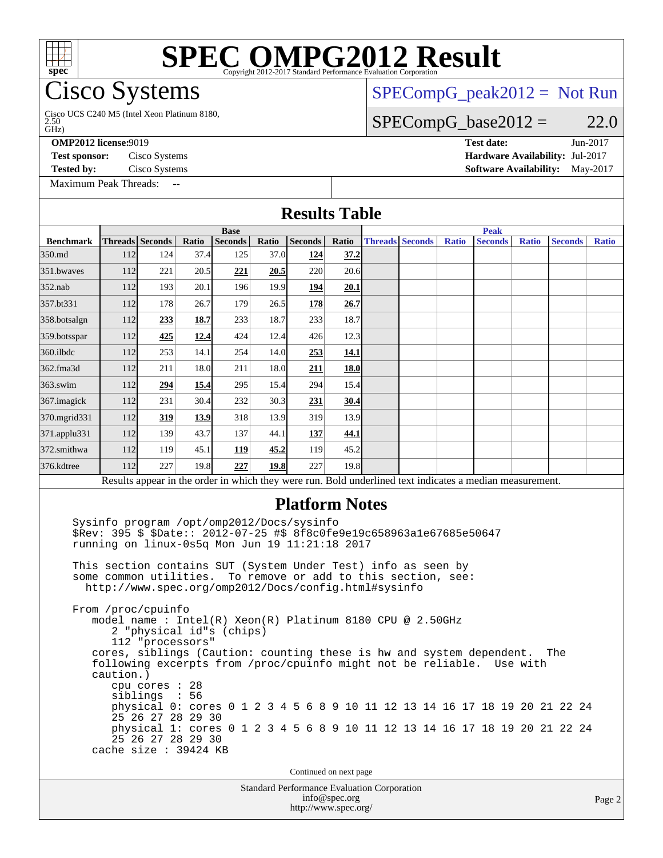# **[SPEC OMPG2012 Result](http://www.spec.org/auto/omp2012/Docs/result-fields.html#SPECOMPG2012Result)**

## **Cisco Systems**

GHz) 2.50 Cisco UCS C240 M5 (Intel Xeon Platinum 8180,

**[OMP2012 license:](http://www.spec.org/auto/omp2012/Docs/result-fields.html#OMP2012license)**9019 **[Test date:](http://www.spec.org/auto/omp2012/Docs/result-fields.html#Testdate)** Jun-2017

**[Test sponsor:](http://www.spec.org/auto/omp2012/Docs/result-fields.html#Testsponsor)** Cisco Systems **[Hardware Availability:](http://www.spec.org/auto/omp2012/Docs/result-fields.html#HardwareAvailability)** Jul-2017 **[Tested by:](http://www.spec.org/auto/omp2012/Docs/result-fields.html#Testedby)** Cisco Systems **[Software Availability:](http://www.spec.org/auto/omp2012/Docs/result-fields.html#SoftwareAvailability)** May-2017

 $SPECompG_peak2012 = Not Run$  $SPECompG_peak2012 = Not Run$ 

 $SPECompG_base2012 = 22.0$  $SPECompG_base2012 = 22.0$ 

[Maximum Peak Threads:](http://www.spec.org/auto/omp2012/Docs/result-fields.html#MaximumPeakThreads)

### **[Results Table](http://www.spec.org/auto/omp2012/Docs/result-fields.html#ResultsTable) [Benchmark](http://www.spec.org/auto/omp2012/Docs/result-fields.html#Benchmark) [Threads](http://www.spec.org/auto/omp2012/Docs/result-fields.html#Threads) [Seconds](http://www.spec.org/auto/omp2012/Docs/result-fields.html#Seconds) [Ratio](http://www.spec.org/auto/omp2012/Docs/result-fields.html#Ratio) [Seconds](http://www.spec.org/auto/omp2012/Docs/result-fields.html#Seconds) [Ratio](http://www.spec.org/auto/omp2012/Docs/result-fields.html#Ratio) [Seconds](http://www.spec.org/auto/omp2012/Docs/result-fields.html#Seconds) [Ratio](http://www.spec.org/auto/omp2012/Docs/result-fields.html#Ratio) Base [Threads](http://www.spec.org/auto/omp2012/Docs/result-fields.html#Threads) [Seconds](http://www.spec.org/auto/omp2012/Docs/result-fields.html#Seconds) [Ratio](http://www.spec.org/auto/omp2012/Docs/result-fields.html#Ratio) [Seconds](http://www.spec.org/auto/omp2012/Docs/result-fields.html#Seconds) [Ratio](http://www.spec.org/auto/omp2012/Docs/result-fields.html#Ratio) [Seconds](http://www.spec.org/auto/omp2012/Docs/result-fields.html#Seconds) [Ratio](http://www.spec.org/auto/omp2012/Docs/result-fields.html#Ratio) Peak** [350.md](http://www.spec.org/auto/omp2012/Docs/350.md.html) 112 124 37.4 125 37.0 **[124](http://www.spec.org/auto/omp2012/Docs/result-fields.html#Median) [37.2](http://www.spec.org/auto/omp2012/Docs/result-fields.html#Median)** [351.bwaves](http://www.spec.org/auto/omp2012/Docs/351.bwaves.html) 112 221 20.5 **[221](http://www.spec.org/auto/omp2012/Docs/result-fields.html#Median) [20.5](http://www.spec.org/auto/omp2012/Docs/result-fields.html#Median)** 220 20.6 [352.nab](http://www.spec.org/auto/omp2012/Docs/352.nab.html) 112 193 20.1 196 19.9 **[194](http://www.spec.org/auto/omp2012/Docs/result-fields.html#Median) [20.1](http://www.spec.org/auto/omp2012/Docs/result-fields.html#Median)** [357.bt331](http://www.spec.org/auto/omp2012/Docs/357.bt331.html) 112 178 26.7 179 26.5 **[178](http://www.spec.org/auto/omp2012/Docs/result-fields.html#Median) [26.7](http://www.spec.org/auto/omp2012/Docs/result-fields.html#Median)** [358.botsalgn](http://www.spec.org/auto/omp2012/Docs/358.botsalgn.html) 112 **[233](http://www.spec.org/auto/omp2012/Docs/result-fields.html#Median) [18.7](http://www.spec.org/auto/omp2012/Docs/result-fields.html#Median)** 233 18.7 233 18.7 [359.botsspar](http://www.spec.org/auto/omp2012/Docs/359.botsspar.html) 112 **[425](http://www.spec.org/auto/omp2012/Docs/result-fields.html#Median) [12.4](http://www.spec.org/auto/omp2012/Docs/result-fields.html#Median)** 424 12.4 426 12.3 [360.ilbdc](http://www.spec.org/auto/omp2012/Docs/360.ilbdc.html) 112 253 14.1 254 14.0 **[253](http://www.spec.org/auto/omp2012/Docs/result-fields.html#Median) [14.1](http://www.spec.org/auto/omp2012/Docs/result-fields.html#Median)** [362.fma3d](http://www.spec.org/auto/omp2012/Docs/362.fma3d.html) 112 211 18.0 211 18.0 **[211](http://www.spec.org/auto/omp2012/Docs/result-fields.html#Median) [18.0](http://www.spec.org/auto/omp2012/Docs/result-fields.html#Median)** [363.swim](http://www.spec.org/auto/omp2012/Docs/363.swim.html) 112 **[294](http://www.spec.org/auto/omp2012/Docs/result-fields.html#Median) [15.4](http://www.spec.org/auto/omp2012/Docs/result-fields.html#Median)** 295 15.4 294 15.4 [367.imagick](http://www.spec.org/auto/omp2012/Docs/367.imagick.html) 112 231 30.4 232 30.3 **[231](http://www.spec.org/auto/omp2012/Docs/result-fields.html#Median) [30.4](http://www.spec.org/auto/omp2012/Docs/result-fields.html#Median)** [370.mgrid331](http://www.spec.org/auto/omp2012/Docs/370.mgrid331.html) 112 **[319](http://www.spec.org/auto/omp2012/Docs/result-fields.html#Median) [13.9](http://www.spec.org/auto/omp2012/Docs/result-fields.html#Median)** 318 13.9 319 13.9 [371.applu331](http://www.spec.org/auto/omp2012/Docs/371.applu331.html) 112 139 43.7 137 44.1 **[137](http://www.spec.org/auto/omp2012/Docs/result-fields.html#Median) [44.1](http://www.spec.org/auto/omp2012/Docs/result-fields.html#Median)** [372.smithwa](http://www.spec.org/auto/omp2012/Docs/372.smithwa.html) 112 119 45.1 **[119](http://www.spec.org/auto/omp2012/Docs/result-fields.html#Median) [45.2](http://www.spec.org/auto/omp2012/Docs/result-fields.html#Median)** 119 45.2 [376.kdtree](http://www.spec.org/auto/omp2012/Docs/376.kdtree.html) 112 227 19.8 **[227](http://www.spec.org/auto/omp2012/Docs/result-fields.html#Median) [19.8](http://www.spec.org/auto/omp2012/Docs/result-fields.html#Median)** 227 19.8 Results appear in the [order in which they were run.](http://www.spec.org/auto/omp2012/Docs/result-fields.html#RunOrder) Bold underlined text [indicates a median measurement.](http://www.spec.org/auto/omp2012/Docs/result-fields.html#Median) **[Platform Notes](http://www.spec.org/auto/omp2012/Docs/result-fields.html#PlatformNotes)** Sysinfo program /opt/omp2012/Docs/sysinfo \$Rev: 395 \$ \$Date:: 2012-07-25 #\$ 8f8c0fe9e19c658963a1e67685e50647 running on linux-0s5q Mon Jun 19 11:21:18 2017 This section contains SUT (System Under Test) info as seen by some common utilities. To remove or add to this section, see: <http://www.spec.org/omp2012/Docs/config.html#sysinfo> From /proc/cpuinfo model name : Intel(R) Xeon(R) Platinum 8180 CPU @ 2.50GHz 2 "physical id"s (chips) 112 "processors" cores, siblings (Caution: counting these is hw and system dependent. The following excerpts from /proc/cpuinfo might not be reliable. Use with caution.) cpu cores : 28 siblings : 56 physical 0: cores 0 1 2 3 4 5 6 8 9 10 11 12 13 14 16 17 18 19 20 21 22 24 25 26 27 28 29 30 physical 1: cores 0 1 2 3 4 5 6 8 9 10 11 12 13 14 16 17 18 19 20 21 22 24 25 26 27 28 29 30 cache size : 39424 KB Continued on next page

Standard Performance Evaluation Corporation [info@spec.org](mailto:info@spec.org) <http://www.spec.org/>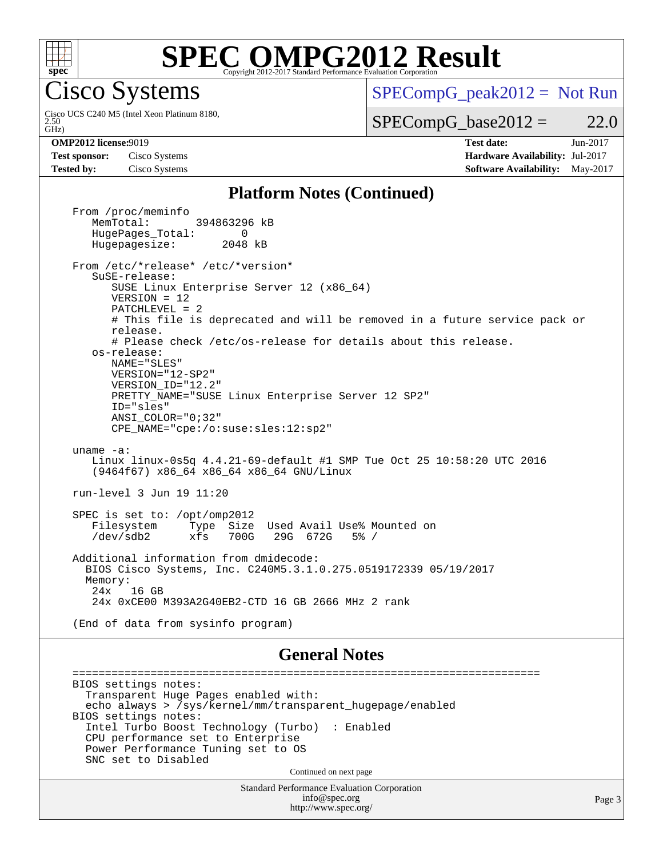

## **[SPEC OMPG2012 Result](http://www.spec.org/auto/omp2012/Docs/result-fields.html#SPECOMPG2012Result)**

Cisco Systems

GHz) 2.50 Cisco UCS C240 M5 (Intel Xeon Platinum 8180,  $SPECompG_peak2012 = Not Run$  $SPECompG_peak2012 = Not Run$ 

 $SPECompG_base2012 = 22.0$  $SPECompG_base2012 = 22.0$ 

**[Test sponsor:](http://www.spec.org/auto/omp2012/Docs/result-fields.html#Testsponsor)** Cisco Systems **[Hardware Availability:](http://www.spec.org/auto/omp2012/Docs/result-fields.html#HardwareAvailability)** Jul-2017

**[OMP2012 license:](http://www.spec.org/auto/omp2012/Docs/result-fields.html#OMP2012license)**9019 **[Test date:](http://www.spec.org/auto/omp2012/Docs/result-fields.html#Testdate)** Jun-2017 **[Tested by:](http://www.spec.org/auto/omp2012/Docs/result-fields.html#Testedby)** Cisco Systems **[Software Availability:](http://www.spec.org/auto/omp2012/Docs/result-fields.html#SoftwareAvailability)** May-2017

## **[Platform Notes \(Continued\)](http://www.spec.org/auto/omp2012/Docs/result-fields.html#PlatformNotes)**

From /proc/meminfo<br>MemTotal: 394863296 kB HugePages\_Total: 0<br>Hugepagesize: 2048 kB Hugepagesize: From /etc/\*release\* /etc/\*version\* SuSE-release: SUSE Linux Enterprise Server 12 (x86\_64) VERSION = 12 PATCHLEVEL = 2 # This file is deprecated and will be removed in a future service pack or release. # Please check /etc/os-release for details about this release. os-release: NAME="SLES" VERSION="12-SP2" VERSION\_ID="12.2" PRETTY\_NAME="SUSE Linux Enterprise Server 12 SP2" ID="sles" ANSI\_COLOR="0;32" CPE\_NAME="cpe:/o:suse:sles:12:sp2" uname -a: Linux linux-0s5q 4.4.21-69-default #1 SMP Tue Oct 25 10:58:20 UTC 2016 (9464f67) x86\_64 x86\_64 x86\_64 GNU/Linux run-level 3 Jun 19 11:20 SPEC is set to: /opt/omp2012 Filesystem Type Size Used Avail Use% Mounted on /dev/sdb2 xfs 700G 29G 672G 5% / Additional information from dmidecode: BIOS Cisco Systems, Inc. C240M5.3.1.0.275.0519172339 05/19/2017 Memory: 24x 16 GB 24x 0xCE00 M393A2G40EB2-CTD 16 GB 2666 MHz 2 rank (End of data from sysinfo program)

## **[General Notes](http://www.spec.org/auto/omp2012/Docs/result-fields.html#GeneralNotes)**

 ======================================================================== BIOS settings notes: Transparent Huge Pages enabled with: echo always > /sys/kernel/mm/transparent\_hugepage/enabled BIOS settings notes: Intel Turbo Boost Technology (Turbo) : Enabled CPU performance set to Enterprise Power Performance Tuning set to OS SNC set to Disabled Continued on next page

> Standard Performance Evaluation Corporation [info@spec.org](mailto:info@spec.org) <http://www.spec.org/>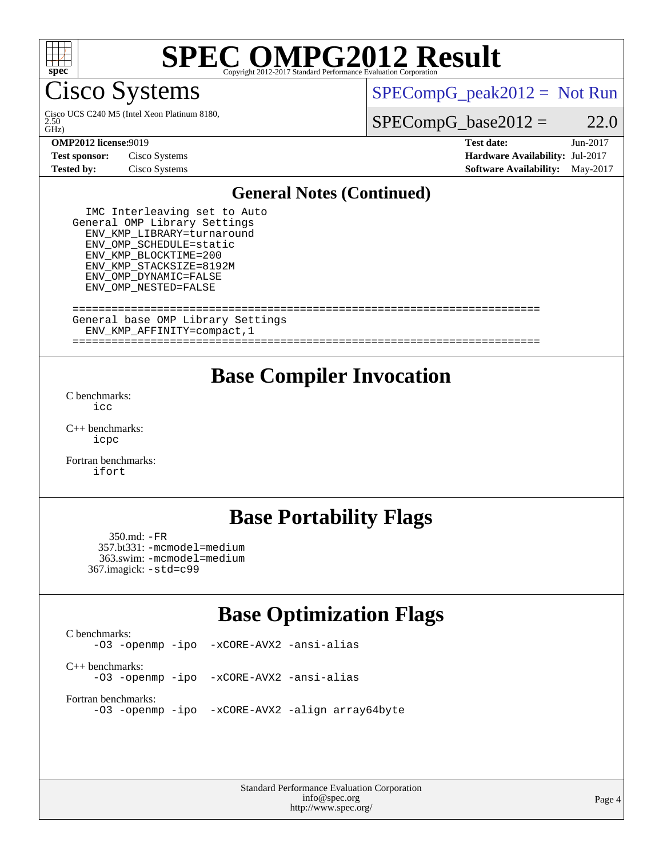

## **[SPEC OMPG2012 Result](http://www.spec.org/auto/omp2012/Docs/result-fields.html#SPECOMPG2012Result)**

Cisco Systems

 $\tilde{GHZ}$ 2.50 Cisco UCS C240 M5 (Intel Xeon Platinum 8180,  $SPECompG_peak2012 = Not Run$  $SPECompG_peak2012 = Not Run$ 

 $SPECompG_base2012 = 22.0$  $SPECompG_base2012 = 22.0$ 

**[Test sponsor:](http://www.spec.org/auto/omp2012/Docs/result-fields.html#Testsponsor)** Cisco Systems **[Hardware Availability:](http://www.spec.org/auto/omp2012/Docs/result-fields.html#HardwareAvailability)** Jul-2017

**[OMP2012 license:](http://www.spec.org/auto/omp2012/Docs/result-fields.html#OMP2012license)**9019 **[Test date:](http://www.spec.org/auto/omp2012/Docs/result-fields.html#Testdate)** Jun-2017 **[Tested by:](http://www.spec.org/auto/omp2012/Docs/result-fields.html#Testedby)** Cisco Systems **[Software Availability:](http://www.spec.org/auto/omp2012/Docs/result-fields.html#SoftwareAvailability)** May-2017

## **[General Notes \(Continued\)](http://www.spec.org/auto/omp2012/Docs/result-fields.html#GeneralNotes)**

 IMC Interleaving set to Auto General OMP Library Settings ENV\_KMP\_LIBRARY=turnaround ENV\_OMP\_SCHEDULE=static ENV\_KMP\_BLOCKTIME=200 ENV\_KMP\_STACKSIZE=8192M ENV\_OMP\_DYNAMIC=FALSE ENV\_OMP\_NESTED=FALSE

### ======================================================================== General base OMP Library Settings ENV\_KMP\_AFFINITY=compact,1

========================================================================

## **[Base Compiler Invocation](http://www.spec.org/auto/omp2012/Docs/result-fields.html#BaseCompilerInvocation)**

[C benchmarks](http://www.spec.org/auto/omp2012/Docs/result-fields.html#Cbenchmarks): [icc](http://www.spec.org/omp2012/results/res2017q3/omp2012-20170621-00102.flags.html#user_CCbase_intel_icc_a87c68a857bc5ec5362391a49d3a37a6)

[C++ benchmarks:](http://www.spec.org/auto/omp2012/Docs/result-fields.html#CXXbenchmarks) [icpc](http://www.spec.org/omp2012/results/res2017q3/omp2012-20170621-00102.flags.html#user_CXXbase_intel_icpc_2d899f8d163502b12eb4a60069f80c1c)

[Fortran benchmarks](http://www.spec.org/auto/omp2012/Docs/result-fields.html#Fortranbenchmarks): [ifort](http://www.spec.org/omp2012/results/res2017q3/omp2012-20170621-00102.flags.html#user_FCbase_intel_ifort_8a5e5e06b19a251bdeaf8fdab5d62f20)

## **[Base Portability Flags](http://www.spec.org/auto/omp2012/Docs/result-fields.html#BasePortabilityFlags)**

 350.md: [-FR](http://www.spec.org/omp2012/results/res2017q3/omp2012-20170621-00102.flags.html#user_baseFPORTABILITY350_md_f-FR) 357.bt331: [-mcmodel=medium](http://www.spec.org/omp2012/results/res2017q3/omp2012-20170621-00102.flags.html#user_basePORTABILITY357_bt331_f-mcmodel_3a41622424bdd074c4f0f2d2f224c7e5) 363.swim: [-mcmodel=medium](http://www.spec.org/omp2012/results/res2017q3/omp2012-20170621-00102.flags.html#user_basePORTABILITY363_swim_f-mcmodel_3a41622424bdd074c4f0f2d2f224c7e5) 367.imagick: [-std=c99](http://www.spec.org/omp2012/results/res2017q3/omp2012-20170621-00102.flags.html#user_baseCPORTABILITY367_imagick_f-std_2ec6533b6e06f1c4a6c9b78d9e9cde24)

## **[Base Optimization Flags](http://www.spec.org/auto/omp2012/Docs/result-fields.html#BaseOptimizationFlags)**

[C benchmarks](http://www.spec.org/auto/omp2012/Docs/result-fields.html#Cbenchmarks): [-O3](http://www.spec.org/omp2012/results/res2017q3/omp2012-20170621-00102.flags.html#user_CCbase_f-O3) [-openmp](http://www.spec.org/omp2012/results/res2017q3/omp2012-20170621-00102.flags.html#user_CCbase_f-openmp) [-ipo](http://www.spec.org/omp2012/results/res2017q3/omp2012-20170621-00102.flags.html#user_CCbase_f-ipo_84062ab53814f613187d02344b8f49a7) [-xCORE-AVX2](http://www.spec.org/omp2012/results/res2017q3/omp2012-20170621-00102.flags.html#user_CCbase_f-xCORE-AVX2) [-ansi-alias](http://www.spec.org/omp2012/results/res2017q3/omp2012-20170621-00102.flags.html#user_CCbase_f-ansi-alias) [C++ benchmarks:](http://www.spec.org/auto/omp2012/Docs/result-fields.html#CXXbenchmarks) [-O3](http://www.spec.org/omp2012/results/res2017q3/omp2012-20170621-00102.flags.html#user_CXXbase_f-O3) [-openmp](http://www.spec.org/omp2012/results/res2017q3/omp2012-20170621-00102.flags.html#user_CXXbase_f-openmp) [-ipo](http://www.spec.org/omp2012/results/res2017q3/omp2012-20170621-00102.flags.html#user_CXXbase_f-ipo_84062ab53814f613187d02344b8f49a7) [-xCORE-AVX2](http://www.spec.org/omp2012/results/res2017q3/omp2012-20170621-00102.flags.html#user_CXXbase_f-xCORE-AVX2) [-ansi-alias](http://www.spec.org/omp2012/results/res2017q3/omp2012-20170621-00102.flags.html#user_CXXbase_f-ansi-alias) [Fortran benchmarks](http://www.spec.org/auto/omp2012/Docs/result-fields.html#Fortranbenchmarks): [-O3](http://www.spec.org/omp2012/results/res2017q3/omp2012-20170621-00102.flags.html#user_FCbase_f-O3) [-openmp](http://www.spec.org/omp2012/results/res2017q3/omp2012-20170621-00102.flags.html#user_FCbase_f-openmp) [-ipo](http://www.spec.org/omp2012/results/res2017q3/omp2012-20170621-00102.flags.html#user_FCbase_f-ipo_84062ab53814f613187d02344b8f49a7) [-xCORE-AVX2](http://www.spec.org/omp2012/results/res2017q3/omp2012-20170621-00102.flags.html#user_FCbase_f-xCORE-AVX2) [-align array64byte](http://www.spec.org/omp2012/results/res2017q3/omp2012-20170621-00102.flags.html#user_FCbase_f-align_c9377f996e966d652baaf753401d4725)

> Standard Performance Evaluation Corporation [info@spec.org](mailto:info@spec.org) <http://www.spec.org/>